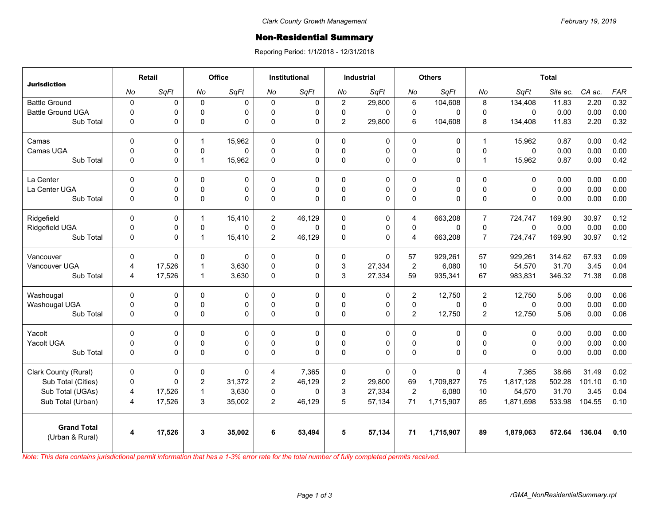## Non-Residential Summary

Reporing Period: 1/1/2018 - 12/31/2018

| <b>Jurisdiction</b>                   | Retail         |          | Office         |             | <b>Institutional</b> |          | <b>Industrial</b> |             | <b>Others</b>  |           | <b>Total</b>   |              |          |        |            |
|---------------------------------------|----------------|----------|----------------|-------------|----------------------|----------|-------------------|-------------|----------------|-----------|----------------|--------------|----------|--------|------------|
|                                       | No             | SqFt     | No             | SqFt        | No                   | SqFt     | No                | SqFt        | No             | SqFt      | No             | SqFt         | Site ac. | CA ac. | <b>FAR</b> |
| <b>Battle Ground</b>                  | $\pmb{0}$      | 0        | $\mathbf 0$    | $\mathbf 0$ | $\Omega$             | 0        | $\overline{2}$    | 29,800      | 6              | 104,608   | 8              | 134,408      | 11.83    | 2.20   | 0.32       |
| <b>Battle Ground UGA</b>              | $\mathbf 0$    | 0        | $\Omega$       | $\Omega$    | $\Omega$             | 0        | 0                 | $\Omega$    | $\mathbf 0$    | 0         | $\mathbf{0}$   | $\mathbf{0}$ | 0.00     | 0.00   | 0.00       |
| Sub Total                             | $\Omega$       | 0        | 0              | $\Omega$    | $\Omega$             | 0        | $\overline{2}$    | 29,800      | 6              | 104,608   | 8              | 134,408      | 11.83    | 2.20   | 0.32       |
| Camas                                 | $\mathbf 0$    | 0        | $\mathbf{1}$   | 15,962      | $\Omega$             | 0        | $\mathbf 0$       | 0           | 0              | 0         | $\overline{1}$ | 15,962       | 0.87     | 0.00   | 0.42       |
| Camas UGA                             | $\mathbf 0$    | 0        | $\Omega$       | $\Omega$    | $\Omega$             | 0        | $\mathbf 0$       | $\Omega$    | 0              | 0         | $\Omega$       | $\Omega$     | 0.00     | 0.00   | 0.00       |
| Sub Total                             | $\mathbf 0$    | 0        | $\mathbf{1}$   | 15,962      | 0                    | 0        | 0                 | $\mathbf 0$ | 0              | 0         | $\overline{1}$ | 15,962       | 0.87     | 0.00   | 0.42       |
| La Center                             | $\Omega$       | 0        | $\Omega$       | $\mathbf 0$ | $\Omega$             | 0        | $\mathbf{0}$      | $\mathbf 0$ | 0              | 0         | $\mathbf{0}$   | $\mathbf{0}$ | 0.00     | 0.00   | 0.00       |
| La Center UGA                         | $\mathbf 0$    | 0        | 0              | $\pmb{0}$   | $\Omega$             | 0        | 0                 | $\pmb{0}$   | $\mathsf 0$    | 0         | $\Omega$       | $\mathbf 0$  | 0.00     | 0.00   | 0.00       |
| Sub Total                             | 0              | 0        | $\mathbf{0}$   | $\Omega$    | $\Omega$             | 0        | $\Omega$          | $\Omega$    | 0              | $\Omega$  | $\Omega$       | $\Omega$     | 0.00     | 0.00   | 0.00       |
| Ridgefield                            | $\Omega$       | 0        | $\mathbf{1}$   | 15,410      | $\overline{2}$       | 46,129   | $\Omega$          | $\mathbf 0$ | 4              | 663,208   | $\overline{7}$ | 724,747      | 169.90   | 30.97  | 0.12       |
| Ridgefield UGA                        | $\mathbf 0$    | 0        | 0              | $\Omega$    | 0                    | 0        | 0                 | $\pmb{0}$   | $\pmb{0}$      | 0         | 0              | $\mathsf 0$  | 0.00     | 0.00   | 0.00       |
| Sub Total                             | $\mathbf 0$    | 0        | $\mathbf{1}$   | 15,410      | $\overline{2}$       | 46,129   | $\Omega$          | $\Omega$    | $\overline{4}$ | 663,208   | $\overline{7}$ | 724,747      | 169.90   | 30.97  | 0.12       |
| Vancouver                             | $\Omega$       | $\Omega$ | $\Omega$       | $\Omega$    | $\Omega$             | 0        | $\Omega$          | $\Omega$    | 57             | 929,261   | 57             | 929,261      | 314.62   | 67.93  | 0.09       |
| Vancouver UGA                         | $\overline{4}$ | 17,526   | $\mathbf{1}$   | 3,630       | $\Omega$             | 0        | 3                 | 27,334      | $\overline{2}$ | 6,080     | 10             | 54,570       | 31.70    | 3.45   | 0.04       |
| Sub Total                             | 4              | 17,526   | $\mathbf{1}$   | 3,630       | $\Omega$             | 0        | 3                 | 27,334      | 59             | 935,341   | 67             | 983,831      | 346.32   | 71.38  | 0.08       |
| Washougal                             | $\mathbf 0$    | 0        | 0              | $\mathbf 0$ | $\Omega$             | 0        | $\mathbf 0$       | 0           | $\overline{c}$ | 12,750    | $\overline{2}$ | 12,750       | 5.06     | 0.00   | 0.06       |
| Washougal UGA                         | $\mathbf 0$    | 0        | 0              | 0           | $\Omega$             | 0        | 0                 | $\mathbf 0$ | $\mathbf 0$    | $\Omega$  | $\mathbf{0}$   | $\Omega$     | 0.00     | 0.00   | 0.00       |
| Sub Total                             | $\mathbf 0$    | 0        | 0              | $\pmb{0}$   | 0                    | 0        | 0                 | $\pmb{0}$   | $\overline{2}$ | 12,750    | $\overline{2}$ | 12,750       | 5.06     | 0.00   | 0.06       |
| Yacolt                                | 0              | 0        | $\Omega$       | 0           | $\Omega$             | 0        | $\mathbf 0$       | $\mathbf 0$ | 0              | 0         | $\mathbf{0}$   | $\mathbf 0$  | 0.00     | 0.00   | 0.00       |
| Yacolt UGA                            | $\mathbf 0$    | 0        | $\Omega$       | $\mathbf 0$ | $\Omega$             | 0        | 0                 | $\mathbf 0$ | 0              | 0         | $\Omega$       | $\Omega$     | 0.00     | 0.00   | 0.00       |
| Sub Total                             | $\Omega$       | 0        | 0              | $\Omega$    | $\Omega$             | $\Omega$ | $\Omega$          | $\Omega$    | 0              | $\Omega$  | $\Omega$       | $\Omega$     | 0.00     | 0.00   | 0.00       |
| Clark County (Rural)                  | $\mathbf 0$    | 0        | $\mathbf 0$    | $\Omega$    | 4                    | 7,365    | 0                 | 0           | $\mathbf 0$    | 0         | $\overline{4}$ | 7,365        | 38.66    | 31.49  | 0.02       |
| Sub Total (Cities)                    | $\mathbf 0$    | 0        | $\overline{c}$ | 31,372      | $\overline{c}$       | 46,129   | $\overline{c}$    | 29,800      | 69             | 1,709,827 | 75             | 1,817,128    | 502.28   | 101.10 | 0.10       |
| Sub Total (UGAs)                      | 4              | 17,526   | $\overline{1}$ | 3,630       | $\Omega$             | $\Omega$ | 3                 | 27,334      | $\overline{2}$ | 6,080     | 10             | 54,570       | 31.70    | 3.45   | 0.04       |
| Sub Total (Urban)                     | 4              | 17,526   | 3              | 35,002      | $\overline{2}$       | 46,129   | 5                 | 57,134      | 71             | 1,715,907 | 85             | 1,871,698    | 533.98   | 104.55 | 0.10       |
| <b>Grand Total</b><br>(Urban & Rural) | 4              | 17,526   | 3              | 35,002      | 6                    | 53,494   | 5                 | 57,134      | 71             | 1,715,907 | 89             | 1,879,063    | 572.64   | 136.04 | 0.10       |

*Note: This data contains jurisdictional permit information that has a 1-3% error rate for the total number of fully completed permits received.*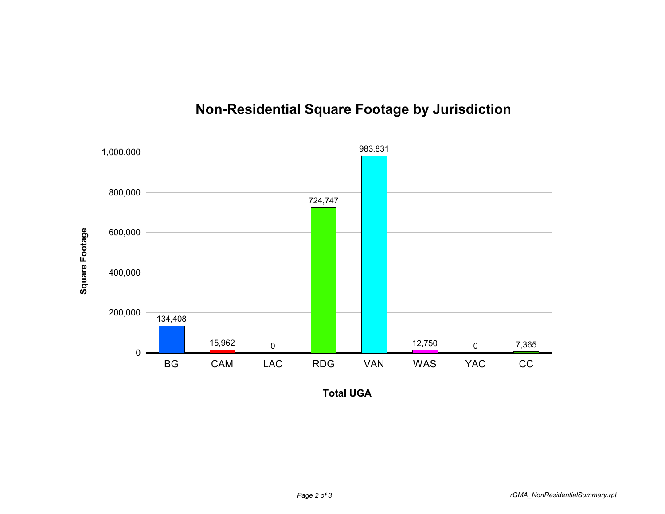

## **Non-Residential Square Footage by Jurisdiction**

**Total UGA**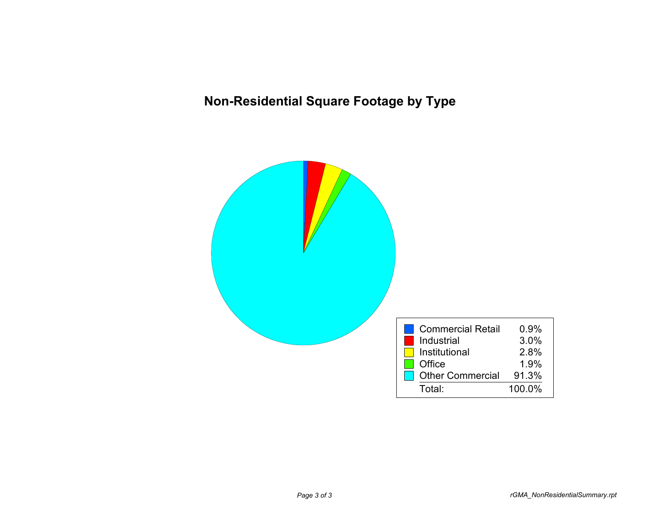## **Non-Residential Square Footage by Type**